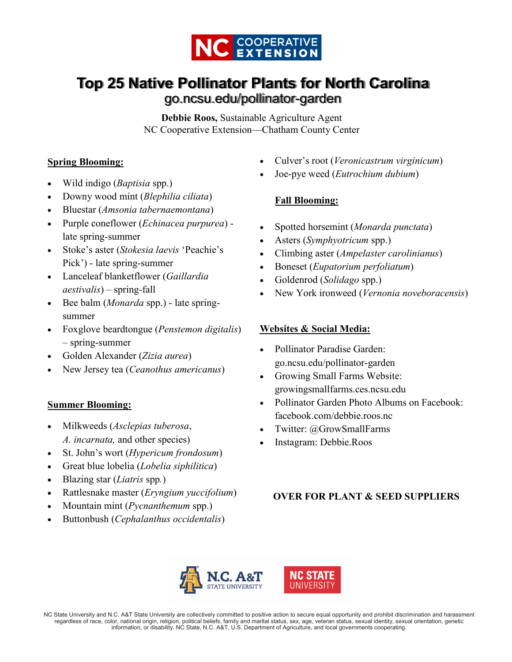

# **Top 25 Native Pollinator Plants for North Carolina**  go.ncsu.edu/pollinator-garden

**Debbie Roos,** Sustainable Agriculture Agent NC Cooperative Extension—Chatham County Center

## **Spring Blooming:**

- Wild indigo (*Baptisia* spp.)
- Downy wood mint (*Blephilia ciliata*)
- Bluestar (*Amsonia tabernaemontana*)
- Purple coneflower (*Echinacea purpurea*) late spring-summer
- Stoke's aster (*Stokesia laevis* 'Peachie's Pick') - late spring-summer
- Lanceleaf blanketflower (*Gaillardia aestivalis*) – spring-fall
- Bee balm (*Monarda* spp.) late springsummer
- Foxglove beardtongue (*Penstemon digitalis*) – spring-summer
- Golden Alexander (*Zizia aurea*)
- New Jersey tea (*Ceanothus americanus*)

## **Summer Blooming:**

- Milkweeds (*Asclepias tuberosa*, *A. incarnata,* and other species)
- St. John's wort (*Hypericum frondosum*)
- Great blue lobelia (*Lobelia siphilitica*)
- Blazing star (*Liatris* spp*.*)
- Rattlesnake master (*Eryngium yuccifolium*)
- Mountain mint (*Pycnanthemum* spp.)
- Buttonbush (*Cephalanthus occidentalis*)
- Culver's root (*Veronicastrum virginicum*)
- Joe-pye weed (*Eutrochium dubium*)

## **Fall Blooming:**

- Spotted horsemint (*Monarda punctata*)
- Asters (*Symphyotricum* spp.)
- Climbing aster (*Ampelaster carolinianus*)
- Boneset (*Eupatorium perfoliatum*)
- Goldenrod (*Solidago* spp.)
- New York ironweed (*Vernonia noveboracensis*)

## **Websites & Social Media:**

- Pollinator Paradise Garden: go.ncsu.edu/pollinator-garden
- Growing Small Farms Website: growingsmallfarms.ces.ncsu.edu
- Pollinator Garden Photo Albums on Facebook: facebook.com/debbie.roos.nc
- Twitter: @GrowSmallFarms
- Instagram: Debbie.Roos

## **OVER FOR PLANT & SEED SUPPLIERS**



NC State University and N.C. A&T State University are collectively committed to positive action to secure equal opportunity and prohibit discrimination and harassment regardless of race, color, national origin, religion, political beliefs, family and marital status, sex, age, veteran status, sexual identity, sexual orientation, genetic information, or disability. NC State, N.C. A&T, U.S. Department of Agriculture, and local governments cooperating.